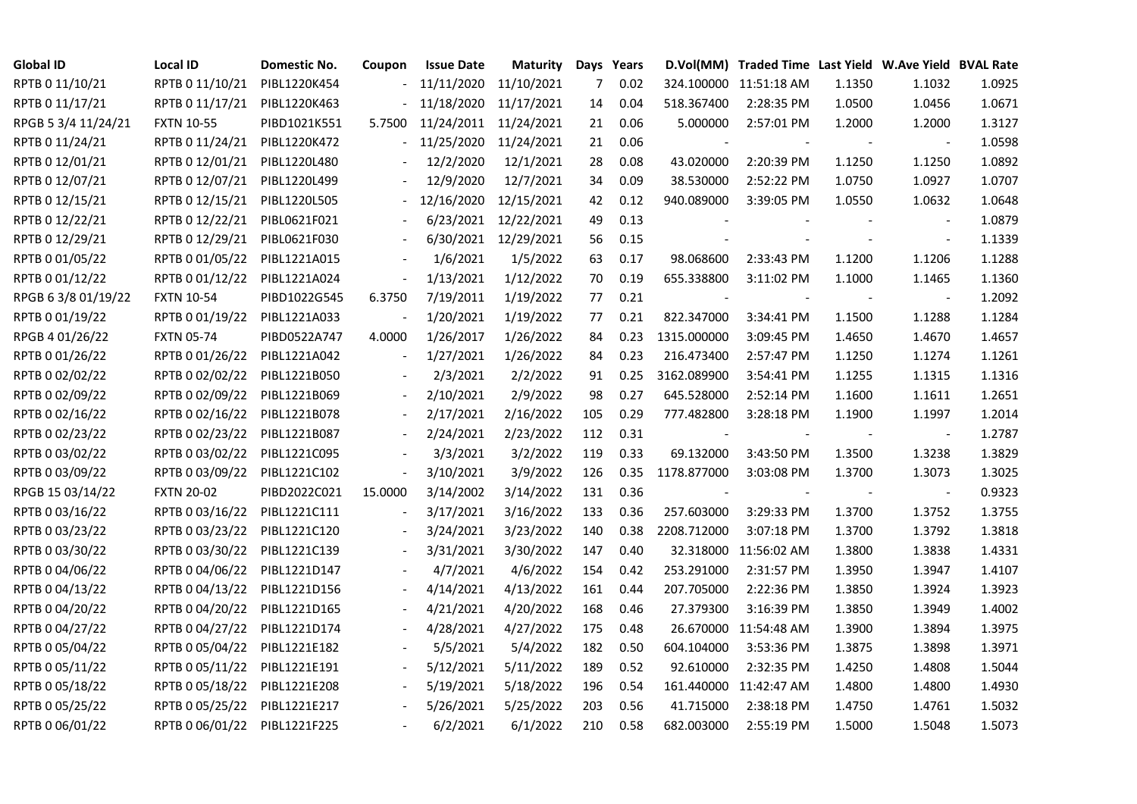| <b>Global ID</b>    | Local ID                     | Domestic No. | Coupon                   | <b>Issue Date</b> | Maturity              |     | Days Years |                          | D.Vol(MM) Traded Time Last Yield W.Ave Yield BVAL Rate |        |                          |        |
|---------------------|------------------------------|--------------|--------------------------|-------------------|-----------------------|-----|------------|--------------------------|--------------------------------------------------------|--------|--------------------------|--------|
| RPTB 0 11/10/21     | RPTB 0 11/10/21              | PIBL1220K454 |                          | 11/11/2020        | 11/10/2021            | 7   | 0.02       |                          | 324.100000 11:51:18 AM                                 | 1.1350 | 1.1032                   | 1.0925 |
| RPTB 0 11/17/21     | RPTB 0 11/17/21              | PIBL1220K463 |                          | 11/18/2020        | 11/17/2021            | 14  | 0.04       | 518.367400               | 2:28:35 PM                                             | 1.0500 | 1.0456                   | 1.0671 |
| RPGB 5 3/4 11/24/21 | <b>FXTN 10-55</b>            | PIBD1021K551 | 5.7500                   |                   | 11/24/2011 11/24/2021 | 21  | 0.06       | 5.000000                 | 2:57:01 PM                                             | 1.2000 | 1.2000                   | 1.3127 |
| RPTB 0 11/24/21     | RPTB 0 11/24/21              | PIBL1220K472 | $\overline{\phantom{0}}$ | 11/25/2020        | 11/24/2021            | 21  | 0.06       |                          |                                                        |        |                          | 1.0598 |
| RPTB 0 12/01/21     | RPTB 0 12/01/21              | PIBL1220L480 |                          | 12/2/2020         | 12/1/2021             | 28  | 0.08       | 43.020000                | 2:20:39 PM                                             | 1.1250 | 1.1250                   | 1.0892 |
| RPTB 0 12/07/21     | RPTB 0 12/07/21              | PIBL1220L499 |                          | 12/9/2020         | 12/7/2021             | 34  | 0.09       | 38.530000                | 2:52:22 PM                                             | 1.0750 | 1.0927                   | 1.0707 |
| RPTB 0 12/15/21     | RPTB 0 12/15/21              | PIBL1220L505 |                          | 12/16/2020        | 12/15/2021            | 42  | 0.12       | 940.089000               | 3:39:05 PM                                             | 1.0550 | 1.0632                   | 1.0648 |
| RPTB 0 12/22/21     | RPTB 0 12/22/21              | PIBL0621F021 |                          | 6/23/2021         | 12/22/2021            | 49  | 0.13       |                          |                                                        |        | $\overline{\phantom{a}}$ | 1.0879 |
| RPTB 0 12/29/21     | RPTB 0 12/29/21              | PIBL0621F030 |                          |                   | 6/30/2021 12/29/2021  | 56  | 0.15       |                          |                                                        |        | $\overline{\phantom{a}}$ | 1.1339 |
| RPTB 0 01/05/22     | RPTB 0 01/05/22              | PIBL1221A015 |                          | 1/6/2021          | 1/5/2022              | 63  | 0.17       | 98.068600                | 2:33:43 PM                                             | 1.1200 | 1.1206                   | 1.1288 |
| RPTB 0 01/12/22     | RPTB 0 01/12/22              | PIBL1221A024 | $\blacksquare$           | 1/13/2021         | 1/12/2022             | 70  | 0.19       | 655.338800               | 3:11:02 PM                                             | 1.1000 | 1.1465                   | 1.1360 |
| RPGB 63/8 01/19/22  | <b>FXTN 10-54</b>            | PIBD1022G545 | 6.3750                   | 7/19/2011         | 1/19/2022             | 77  | 0.21       |                          |                                                        |        |                          | 1.2092 |
| RPTB 0 01/19/22     | RPTB 0 01/19/22              | PIBL1221A033 |                          | 1/20/2021         | 1/19/2022             | 77  | 0.21       | 822.347000               | 3:34:41 PM                                             | 1.1500 | 1.1288                   | 1.1284 |
| RPGB 4 01/26/22     | <b>FXTN 05-74</b>            | PIBD0522A747 | 4.0000                   | 1/26/2017         | 1/26/2022             | 84  | 0.23       | 1315.000000              | 3:09:45 PM                                             | 1.4650 | 1.4670                   | 1.4657 |
| RPTB 0 01/26/22     | RPTB 0 01/26/22              | PIBL1221A042 | $\overline{\phantom{a}}$ | 1/27/2021         | 1/26/2022             | 84  | 0.23       | 216.473400               | 2:57:47 PM                                             | 1.1250 | 1.1274                   | 1.1261 |
| RPTB 0 02/02/22     | RPTB 0 02/02/22              | PIBL1221B050 |                          | 2/3/2021          | 2/2/2022              | 91  | 0.25       | 3162.089900              | 3:54:41 PM                                             | 1.1255 | 1.1315                   | 1.1316 |
| RPTB 0 02/09/22     | RPTB 0 02/09/22              | PIBL1221B069 |                          | 2/10/2021         | 2/9/2022              | 98  | 0.27       | 645.528000               | 2:52:14 PM                                             | 1.1600 | 1.1611                   | 1.2651 |
| RPTB 0 02/16/22     | RPTB 0 02/16/22              | PIBL1221B078 | $\overline{\phantom{a}}$ | 2/17/2021         | 2/16/2022             | 105 | 0.29       | 777.482800               | 3:28:18 PM                                             | 1.1900 | 1.1997                   | 1.2014 |
| RPTB 0 02/23/22     | RPTB 0 02/23/22              | PIBL1221B087 |                          | 2/24/2021         | 2/23/2022             | 112 | 0.31       |                          |                                                        |        | $\blacksquare$           | 1.2787 |
| RPTB 0 03/02/22     | RPTB 0 03/02/22              | PIBL1221C095 |                          | 3/3/2021          | 3/2/2022              | 119 | 0.33       | 69.132000                | 3:43:50 PM                                             | 1.3500 | 1.3238                   | 1.3829 |
| RPTB 0 03/09/22     | RPTB 0 03/09/22              | PIBL1221C102 | $\blacksquare$           | 3/10/2021         | 3/9/2022              | 126 | 0.35       | 1178.877000              | 3:03:08 PM                                             | 1.3700 | 1.3073                   | 1.3025 |
| RPGB 15 03/14/22    | <b>FXTN 20-02</b>            | PIBD2022C021 | 15.0000                  | 3/14/2002         | 3/14/2022             | 131 | 0.36       | $\overline{\phantom{a}}$ |                                                        |        | $\blacksquare$           | 0.9323 |
| RPTB 0 03/16/22     | RPTB 0 03/16/22              | PIBL1221C111 |                          | 3/17/2021         | 3/16/2022             | 133 | 0.36       | 257.603000               | 3:29:33 PM                                             | 1.3700 | 1.3752                   | 1.3755 |
| RPTB 0 03/23/22     | RPTB 0 03/23/22              | PIBL1221C120 |                          | 3/24/2021         | 3/23/2022             | 140 | 0.38       | 2208.712000              | 3:07:18 PM                                             | 1.3700 | 1.3792                   | 1.3818 |
| RPTB 0 03/30/22     | RPTB 0 03/30/22              | PIBL1221C139 | $\overline{\phantom{a}}$ | 3/31/2021         | 3/30/2022             | 147 | 0.40       |                          | 32.318000 11:56:02 AM                                  | 1.3800 | 1.3838                   | 1.4331 |
| RPTB 0 04/06/22     | RPTB 0 04/06/22              | PIBL1221D147 |                          | 4/7/2021          | 4/6/2022              | 154 | 0.42       | 253.291000               | 2:31:57 PM                                             | 1.3950 | 1.3947                   | 1.4107 |
| RPTB 0 04/13/22     | RPTB 0 04/13/22              | PIBL1221D156 |                          | 4/14/2021         | 4/13/2022             | 161 | 0.44       | 207.705000               | 2:22:36 PM                                             | 1.3850 | 1.3924                   | 1.3923 |
| RPTB 0 04/20/22     | RPTB 0 04/20/22              | PIBL1221D165 |                          | 4/21/2021         | 4/20/2022             | 168 | 0.46       | 27.379300                | 3:16:39 PM                                             | 1.3850 | 1.3949                   | 1.4002 |
| RPTB 0 04/27/22     | RPTB 0 04/27/22              | PIBL1221D174 |                          | 4/28/2021         | 4/27/2022             | 175 | 0.48       |                          | 26.670000 11:54:48 AM                                  | 1.3900 | 1.3894                   | 1.3975 |
| RPTB 0 05/04/22     | RPTB 0 05/04/22              | PIBL1221E182 |                          | 5/5/2021          | 5/4/2022              | 182 | 0.50       | 604.104000               | 3:53:36 PM                                             | 1.3875 | 1.3898                   | 1.3971 |
| RPTB 0 05/11/22     | RPTB 0 05/11/22              | PIBL1221E191 |                          | 5/12/2021         | 5/11/2022             | 189 | 0.52       | 92.610000                | 2:32:35 PM                                             | 1.4250 | 1.4808                   | 1.5044 |
| RPTB 0 05/18/22     | RPTB 0 05/18/22              | PIBL1221E208 | $\overline{\phantom{a}}$ | 5/19/2021         | 5/18/2022             | 196 | 0.54       |                          | 161.440000 11:42:47 AM                                 | 1.4800 | 1.4800                   | 1.4930 |
| RPTB 0 05/25/22     | RPTB 0 05/25/22              | PIBL1221E217 |                          | 5/26/2021         | 5/25/2022             | 203 | 0.56       | 41.715000                | 2:38:18 PM                                             | 1.4750 | 1.4761                   | 1.5032 |
| RPTB 0 06/01/22     | RPTB 0 06/01/22 PIBL1221F225 |              |                          | 6/2/2021          | 6/1/2022              | 210 | 0.58       | 682.003000               | 2:55:19 PM                                             | 1.5000 | 1.5048                   | 1.5073 |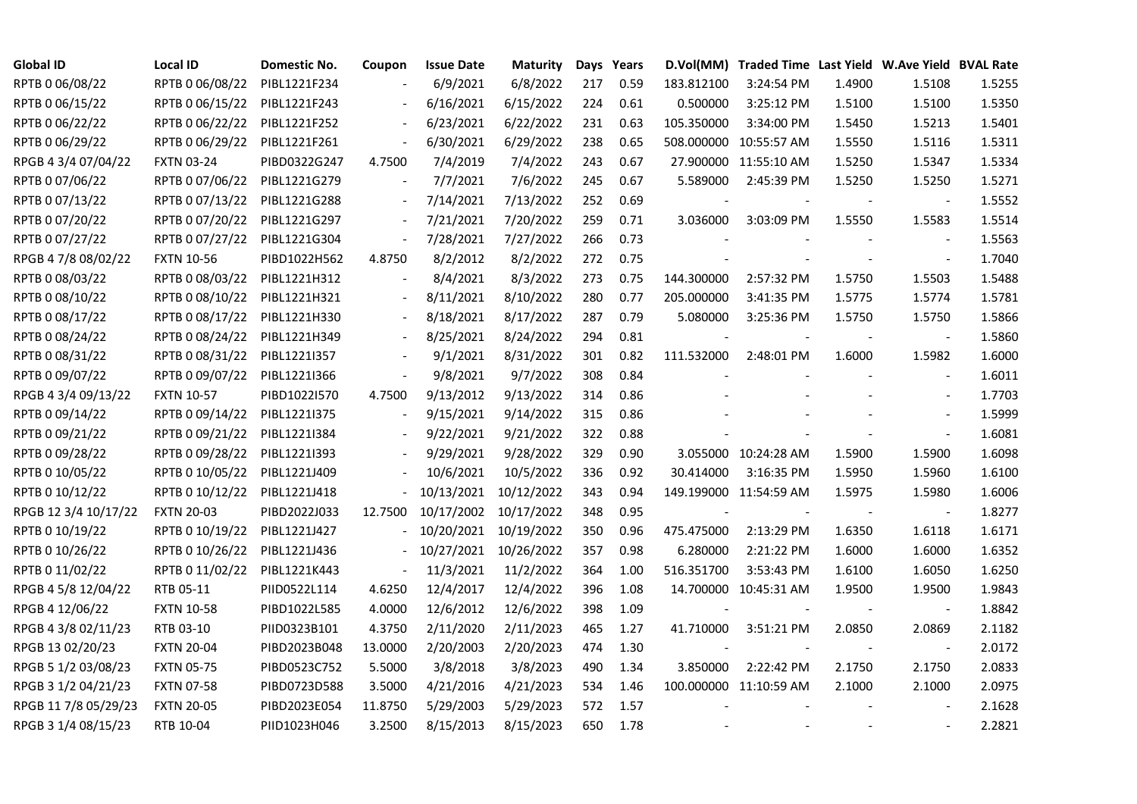| <b>Global ID</b>     | Local ID          | Domestic No. | Coupon                   | <b>Issue Date</b> | <b>Maturity</b> |     | Days Years |                          | D.Vol(MM) Traded Time Last Yield W.Ave Yield BVAL Rate |        |                          |        |
|----------------------|-------------------|--------------|--------------------------|-------------------|-----------------|-----|------------|--------------------------|--------------------------------------------------------|--------|--------------------------|--------|
| RPTB 0 06/08/22      | RPTB 0 06/08/22   | PIBL1221F234 |                          | 6/9/2021          | 6/8/2022        | 217 | 0.59       | 183.812100               | 3:24:54 PM                                             | 1.4900 | 1.5108                   | 1.5255 |
| RPTB 0 06/15/22      | RPTB 0 06/15/22   | PIBL1221F243 |                          | 6/16/2021         | 6/15/2022       | 224 | 0.61       | 0.500000                 | 3:25:12 PM                                             | 1.5100 | 1.5100                   | 1.5350 |
| RPTB 0 06/22/22      | RPTB 0 06/22/22   | PIBL1221F252 | $\overline{\phantom{a}}$ | 6/23/2021         | 6/22/2022       | 231 | 0.63       | 105.350000               | 3:34:00 PM                                             | 1.5450 | 1.5213                   | 1.5401 |
| RPTB 0 06/29/22      | RPTB 0 06/29/22   | PIBL1221F261 | $\blacksquare$           | 6/30/2021         | 6/29/2022       | 238 | 0.65       |                          | 508.000000 10:55:57 AM                                 | 1.5550 | 1.5116                   | 1.5311 |
| RPGB 4 3/4 07/04/22  | <b>FXTN 03-24</b> | PIBD0322G247 | 4.7500                   | 7/4/2019          | 7/4/2022        | 243 | 0.67       |                          | 27.900000 11:55:10 AM                                  | 1.5250 | 1.5347                   | 1.5334 |
| RPTB 0 07/06/22      | RPTB 0 07/06/22   | PIBL1221G279 | $\overline{\phantom{a}}$ | 7/7/2021          | 7/6/2022        | 245 | 0.67       | 5.589000                 | 2:45:39 PM                                             | 1.5250 | 1.5250                   | 1.5271 |
| RPTB 0 07/13/22      | RPTB 0 07/13/22   | PIBL1221G288 | $\overline{\phantom{a}}$ | 7/14/2021         | 7/13/2022       | 252 | 0.69       | $\blacksquare$           |                                                        |        | $\blacksquare$           | 1.5552 |
| RPTB 0 07/20/22      | RPTB 0 07/20/22   | PIBL1221G297 |                          | 7/21/2021         | 7/20/2022       | 259 | 0.71       | 3.036000                 | 3:03:09 PM                                             | 1.5550 | 1.5583                   | 1.5514 |
| RPTB 0 07/27/22      | RPTB 0 07/27/22   | PIBL1221G304 | $\frac{1}{2}$            | 7/28/2021         | 7/27/2022       | 266 | 0.73       |                          |                                                        |        |                          | 1.5563 |
| RPGB 4 7/8 08/02/22  | <b>FXTN 10-56</b> | PIBD1022H562 | 4.8750                   | 8/2/2012          | 8/2/2022        | 272 | 0.75       |                          |                                                        |        | $\overline{\phantom{a}}$ | 1.7040 |
| RPTB 0 08/03/22      | RPTB 0 08/03/22   | PIBL1221H312 | $\blacksquare$           | 8/4/2021          | 8/3/2022        | 273 | 0.75       | 144.300000               | 2:57:32 PM                                             | 1.5750 | 1.5503                   | 1.5488 |
| RPTB 0 08/10/22      | RPTB 0 08/10/22   | PIBL1221H321 | $\blacksquare$           | 8/11/2021         | 8/10/2022       | 280 | 0.77       | 205.000000               | 3:41:35 PM                                             | 1.5775 | 1.5774                   | 1.5781 |
| RPTB 0 08/17/22      | RPTB 0 08/17/22   | PIBL1221H330 |                          | 8/18/2021         | 8/17/2022       | 287 | 0.79       | 5.080000                 | 3:25:36 PM                                             | 1.5750 | 1.5750                   | 1.5866 |
| RPTB 0 08/24/22      | RPTB 0 08/24/22   | PIBL1221H349 | $\blacksquare$           | 8/25/2021         | 8/24/2022       | 294 | 0.81       | $\overline{\phantom{a}}$ | $\blacksquare$                                         |        | $\blacksquare$           | 1.5860 |
| RPTB 0 08/31/22      | RPTB 0 08/31/22   | PIBL1221I357 |                          | 9/1/2021          | 8/31/2022       | 301 | 0.82       | 111.532000               | 2:48:01 PM                                             | 1.6000 | 1.5982                   | 1.6000 |
| RPTB 0 09/07/22      | RPTB 0 09/07/22   | PIBL1221I366 |                          | 9/8/2021          | 9/7/2022        | 308 | 0.84       |                          |                                                        |        |                          | 1.6011 |
| RPGB 4 3/4 09/13/22  | <b>FXTN 10-57</b> | PIBD1022I570 | 4.7500                   | 9/13/2012         | 9/13/2022       | 314 | 0.86       |                          |                                                        |        |                          | 1.7703 |
| RPTB 0 09/14/22      | RPTB 0 09/14/22   | PIBL12211375 | $\blacksquare$           | 9/15/2021         | 9/14/2022       | 315 | 0.86       |                          |                                                        |        | $\blacksquare$           | 1.5999 |
| RPTB 0 09/21/22      | RPTB 0 09/21/22   | PIBL1221I384 |                          | 9/22/2021         | 9/21/2022       | 322 | 0.88       |                          |                                                        |        |                          | 1.6081 |
| RPTB 0 09/28/22      | RPTB 0 09/28/22   | PIBL1221I393 |                          | 9/29/2021         | 9/28/2022       | 329 | 0.90       |                          | 3.055000 10:24:28 AM                                   | 1.5900 | 1.5900                   | 1.6098 |
| RPTB 0 10/05/22      | RPTB 0 10/05/22   | PIBL1221J409 |                          | 10/6/2021         | 10/5/2022       | 336 | 0.92       | 30.414000                | 3:16:35 PM                                             | 1.5950 | 1.5960                   | 1.6100 |
| RPTB 0 10/12/22      | RPTB 0 10/12/22   | PIBL1221J418 |                          | 10/13/2021        | 10/12/2022      | 343 | 0.94       |                          | 149.199000 11:54:59 AM                                 | 1.5975 | 1.5980                   | 1.6006 |
| RPGB 12 3/4 10/17/22 | <b>FXTN 20-03</b> | PIBD2022J033 | 12.7500                  | 10/17/2002        | 10/17/2022      | 348 | 0.95       |                          |                                                        |        |                          | 1.8277 |
| RPTB 0 10/19/22      | RPTB 0 10/19/22   | PIBL1221J427 |                          | 10/20/2021        | 10/19/2022      | 350 | 0.96       | 475.475000               | 2:13:29 PM                                             | 1.6350 | 1.6118                   | 1.6171 |
| RPTB 0 10/26/22      | RPTB 0 10/26/22   | PIBL1221J436 | $\overline{\phantom{a}}$ | 10/27/2021        | 10/26/2022      | 357 | 0.98       | 6.280000                 | 2:21:22 PM                                             | 1.6000 | 1.6000                   | 1.6352 |
| RPTB 0 11/02/22      | RPTB 0 11/02/22   | PIBL1221K443 | $\blacksquare$           | 11/3/2021         | 11/2/2022       | 364 | 1.00       | 516.351700               | 3:53:43 PM                                             | 1.6100 | 1.6050                   | 1.6250 |
| RPGB 4 5/8 12/04/22  | RTB 05-11         | PIID0522L114 | 4.6250                   | 12/4/2017         | 12/4/2022       | 396 | 1.08       |                          | 14.700000 10:45:31 AM                                  | 1.9500 | 1.9500                   | 1.9843 |
| RPGB 4 12/06/22      | <b>FXTN 10-58</b> | PIBD1022L585 | 4.0000                   | 12/6/2012         | 12/6/2022       | 398 | 1.09       | $\blacksquare$           |                                                        |        | $\blacksquare$           | 1.8842 |
| RPGB 4 3/8 02/11/23  | RTB 03-10         | PIID0323B101 | 4.3750                   | 2/11/2020         | 2/11/2023       | 465 | 1.27       | 41.710000                | 3:51:21 PM                                             | 2.0850 | 2.0869                   | 2.1182 |
| RPGB 13 02/20/23     | <b>FXTN 20-04</b> | PIBD2023B048 | 13.0000                  | 2/20/2003         | 2/20/2023       | 474 | 1.30       |                          |                                                        |        |                          | 2.0172 |
| RPGB 5 1/2 03/08/23  | <b>FXTN 05-75</b> | PIBD0523C752 | 5.5000                   | 3/8/2018          | 3/8/2023        | 490 | 1.34       | 3.850000                 | 2:22:42 PM                                             | 2.1750 | 2.1750                   | 2.0833 |
| RPGB 3 1/2 04/21/23  | <b>FXTN 07-58</b> | PIBD0723D588 | 3.5000                   | 4/21/2016         | 4/21/2023       | 534 | 1.46       |                          | 100.000000 11:10:59 AM                                 | 2.1000 | 2.1000                   | 2.0975 |
| RPGB 11 7/8 05/29/23 | <b>FXTN 20-05</b> | PIBD2023E054 | 11.8750                  | 5/29/2003         | 5/29/2023       | 572 | 1.57       |                          |                                                        |        |                          | 2.1628 |
| RPGB 3 1/4 08/15/23  | RTB 10-04         | PIID1023H046 | 3.2500                   | 8/15/2013         | 8/15/2023       | 650 | 1.78       |                          |                                                        |        |                          | 2.2821 |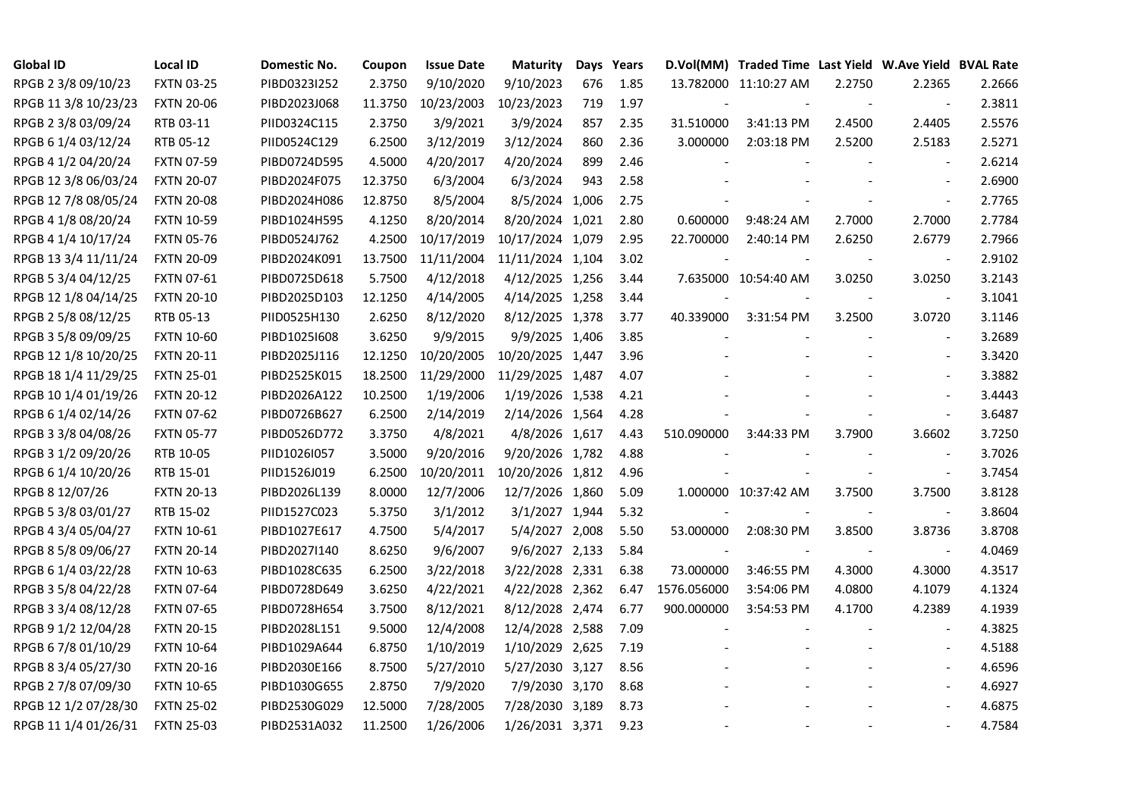| <b>Global ID</b>     | <b>Local ID</b>   | Domestic No. | Coupon  | <b>Issue Date</b> | <b>Maturity</b>  |     | Days Years |             | D.Vol(MM) Traded Time Last Yield W.Ave Yield BVAL Rate |        |                          |        |
|----------------------|-------------------|--------------|---------|-------------------|------------------|-----|------------|-------------|--------------------------------------------------------|--------|--------------------------|--------|
| RPGB 2 3/8 09/10/23  | <b>FXTN 03-25</b> | PIBD0323I252 | 2.3750  | 9/10/2020         | 9/10/2023        | 676 | 1.85       |             | 13.782000 11:10:27 AM                                  | 2.2750 | 2.2365                   | 2.2666 |
| RPGB 11 3/8 10/23/23 | <b>FXTN 20-06</b> | PIBD2023J068 | 11.3750 | 10/23/2003        | 10/23/2023       | 719 | 1.97       |             |                                                        |        |                          | 2.3811 |
| RPGB 2 3/8 03/09/24  | RTB 03-11         | PIID0324C115 | 2.3750  | 3/9/2021          | 3/9/2024         | 857 | 2.35       | 31.510000   | 3:41:13 PM                                             | 2.4500 | 2.4405                   | 2.5576 |
| RPGB 6 1/4 03/12/24  | RTB 05-12         | PIID0524C129 | 6.2500  | 3/12/2019         | 3/12/2024        | 860 | 2.36       | 3.000000    | 2:03:18 PM                                             | 2.5200 | 2.5183                   | 2.5271 |
| RPGB 4 1/2 04/20/24  | <b>FXTN 07-59</b> | PIBD0724D595 | 4.5000  | 4/20/2017         | 4/20/2024        | 899 | 2.46       |             |                                                        |        | $\blacksquare$           | 2.6214 |
| RPGB 12 3/8 06/03/24 | <b>FXTN 20-07</b> | PIBD2024F075 | 12.3750 | 6/3/2004          | 6/3/2024         | 943 | 2.58       |             |                                                        |        | $\overline{\phantom{a}}$ | 2.6900 |
| RPGB 12 7/8 08/05/24 | <b>FXTN 20-08</b> | PIBD2024H086 | 12.8750 | 8/5/2004          | 8/5/2024 1,006   |     | 2.75       |             |                                                        |        | $\blacksquare$           | 2.7765 |
| RPGB 4 1/8 08/20/24  | <b>FXTN 10-59</b> | PIBD1024H595 | 4.1250  | 8/20/2014         | 8/20/2024 1,021  |     | 2.80       | 0.600000    | 9:48:24 AM                                             | 2.7000 | 2.7000                   | 2.7784 |
| RPGB 4 1/4 10/17/24  | <b>FXTN 05-76</b> | PIBD0524J762 | 4.2500  | 10/17/2019        | 10/17/2024 1,079 |     | 2.95       | 22.700000   | 2:40:14 PM                                             | 2.6250 | 2.6779                   | 2.7966 |
| RPGB 13 3/4 11/11/24 | <b>FXTN 20-09</b> | PIBD2024K091 | 13.7500 | 11/11/2004        | 11/11/2024 1,104 |     | 3.02       |             |                                                        |        | $\overline{\phantom{a}}$ | 2.9102 |
| RPGB 5 3/4 04/12/25  | <b>FXTN 07-61</b> | PIBD0725D618 | 5.7500  | 4/12/2018         | 4/12/2025 1,256  |     | 3.44       |             | 7.635000 10:54:40 AM                                   | 3.0250 | 3.0250                   | 3.2143 |
| RPGB 12 1/8 04/14/25 | <b>FXTN 20-10</b> | PIBD2025D103 | 12.1250 | 4/14/2005         | 4/14/2025 1,258  |     | 3.44       |             |                                                        |        | $\blacksquare$           | 3.1041 |
| RPGB 2 5/8 08/12/25  | RTB 05-13         | PIID0525H130 | 2.6250  | 8/12/2020         | 8/12/2025 1,378  |     | 3.77       | 40.339000   | 3:31:54 PM                                             | 3.2500 | 3.0720                   | 3.1146 |
| RPGB 3 5/8 09/09/25  | <b>FXTN 10-60</b> | PIBD10251608 | 3.6250  | 9/9/2015          | 9/9/2025 1,406   |     | 3.85       |             |                                                        |        | $\blacksquare$           | 3.2689 |
| RPGB 12 1/8 10/20/25 | <b>FXTN 20-11</b> | PIBD2025J116 | 12.1250 | 10/20/2005        | 10/20/2025 1,447 |     | 3.96       |             |                                                        |        | $\blacksquare$           | 3.3420 |
| RPGB 18 1/4 11/29/25 | <b>FXTN 25-01</b> | PIBD2525K015 | 18.2500 | 11/29/2000        | 11/29/2025 1,487 |     | 4.07       |             |                                                        |        |                          | 3.3882 |
| RPGB 10 1/4 01/19/26 | <b>FXTN 20-12</b> | PIBD2026A122 | 10.2500 | 1/19/2006         | 1/19/2026 1,538  |     | 4.21       |             |                                                        |        | $\blacksquare$           | 3.4443 |
| RPGB 6 1/4 02/14/26  | <b>FXTN 07-62</b> | PIBD0726B627 | 6.2500  | 2/14/2019         | 2/14/2026 1,564  |     | 4.28       |             |                                                        |        | $\blacksquare$           | 3.6487 |
| RPGB 3 3/8 04/08/26  | <b>FXTN 05-77</b> | PIBD0526D772 | 3.3750  | 4/8/2021          | 4/8/2026 1,617   |     | 4.43       | 510.090000  | 3:44:33 PM                                             | 3.7900 | 3.6602                   | 3.7250 |
| RPGB 3 1/2 09/20/26  | RTB 10-05         | PIID1026I057 | 3.5000  | 9/20/2016         | 9/20/2026 1,782  |     | 4.88       |             |                                                        |        | $\overline{\phantom{a}}$ | 3.7026 |
| RPGB 6 1/4 10/20/26  | RTB 15-01         | PIID1526J019 | 6.2500  | 10/20/2011        | 10/20/2026 1,812 |     | 4.96       |             |                                                        |        | $\blacksquare$           | 3.7454 |
| RPGB 8 12/07/26      | <b>FXTN 20-13</b> | PIBD2026L139 | 8.0000  | 12/7/2006         | 12/7/2026 1,860  |     | 5.09       |             | 1.000000 10:37:42 AM                                   | 3.7500 | 3.7500                   | 3.8128 |
| RPGB 5 3/8 03/01/27  | RTB 15-02         | PIID1527C023 | 5.3750  | 3/1/2012          | 3/1/2027 1,944   |     | 5.32       |             |                                                        |        |                          | 3.8604 |
| RPGB 4 3/4 05/04/27  | <b>FXTN 10-61</b> | PIBD1027E617 | 4.7500  | 5/4/2017          | 5/4/2027 2,008   |     | 5.50       | 53.000000   | 2:08:30 PM                                             | 3.8500 | 3.8736                   | 3.8708 |
| RPGB 8 5/8 09/06/27  | <b>FXTN 20-14</b> | PIBD2027I140 | 8.6250  | 9/6/2007          | 9/6/2027 2,133   |     | 5.84       |             |                                                        |        | $\blacksquare$           | 4.0469 |
| RPGB 6 1/4 03/22/28  | <b>FXTN 10-63</b> | PIBD1028C635 | 6.2500  | 3/22/2018         | 3/22/2028 2,331  |     | 6.38       | 73.000000   | 3:46:55 PM                                             | 4.3000 | 4.3000                   | 4.3517 |
| RPGB 3 5/8 04/22/28  | <b>FXTN 07-64</b> | PIBD0728D649 | 3.6250  | 4/22/2021         | 4/22/2028 2,362  |     | 6.47       | 1576.056000 | 3:54:06 PM                                             | 4.0800 | 4.1079                   | 4.1324 |
| RPGB 3 3/4 08/12/28  | <b>FXTN 07-65</b> | PIBD0728H654 | 3.7500  | 8/12/2021         | 8/12/2028 2,474  |     | 6.77       | 900.000000  | 3:54:53 PM                                             | 4.1700 | 4.2389                   | 4.1939 |
| RPGB 9 1/2 12/04/28  | <b>FXTN 20-15</b> | PIBD2028L151 | 9.5000  | 12/4/2008         | 12/4/2028 2,588  |     | 7.09       |             |                                                        |        |                          | 4.3825 |
| RPGB 67/8 01/10/29   | <b>FXTN 10-64</b> | PIBD1029A644 | 6.8750  | 1/10/2019         | 1/10/2029 2,625  |     | 7.19       |             |                                                        |        |                          | 4.5188 |
| RPGB 8 3/4 05/27/30  | <b>FXTN 20-16</b> | PIBD2030E166 | 8.7500  | 5/27/2010         | 5/27/2030 3,127  |     | 8.56       |             |                                                        |        | $\blacksquare$           | 4.6596 |
| RPGB 2 7/8 07/09/30  | <b>FXTN 10-65</b> | PIBD1030G655 | 2.8750  | 7/9/2020          | 7/9/2030 3,170   |     | 8.68       |             |                                                        |        | $\blacksquare$           | 4.6927 |
| RPGB 12 1/2 07/28/30 | <b>FXTN 25-02</b> | PIBD2530G029 | 12.5000 | 7/28/2005         | 7/28/2030 3,189  |     | 8.73       |             |                                                        |        |                          | 4.6875 |
| RPGB 11 1/4 01/26/31 | <b>FXTN 25-03</b> | PIBD2531A032 | 11.2500 | 1/26/2006         | 1/26/2031 3,371  |     | 9.23       |             |                                                        |        | $\blacksquare$           | 4.7584 |